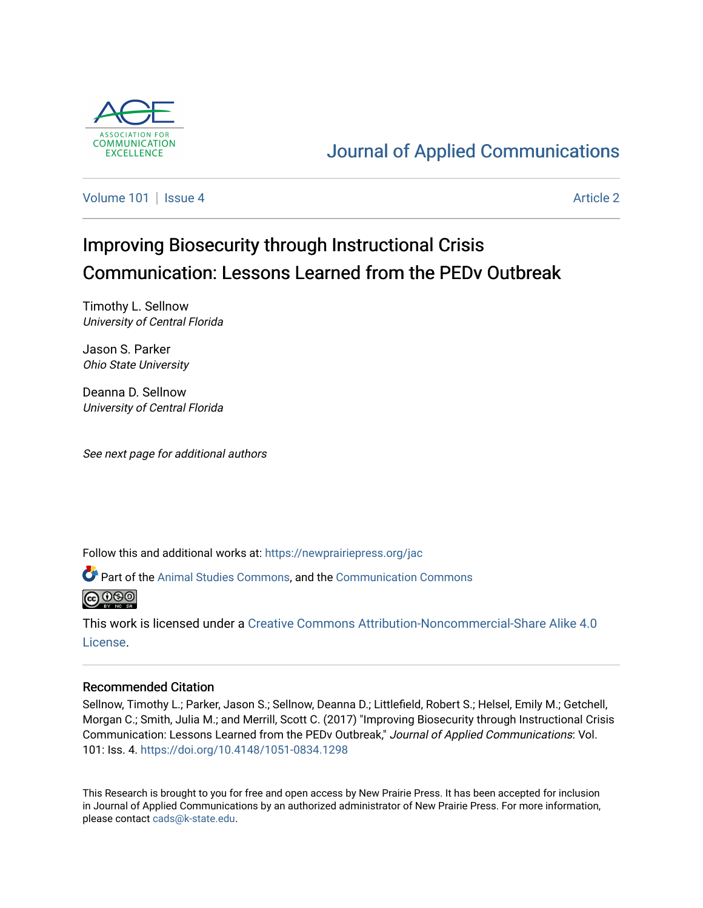

## [Journal of Applied Communications](https://newprairiepress.org/jac)

[Volume 101](https://newprairiepress.org/jac/vol101) | [Issue 4](https://newprairiepress.org/jac/vol101/iss4) Article 2

# Improving Biosecurity through Instructional Crisis Communication: Lessons Learned from the PEDv Outbreak

Timothy L. Sellnow University of Central Florida

Jason S. Parker Ohio State University

Deanna D. Sellnow University of Central Florida

See next page for additional authors

Follow this and additional works at: [https://newprairiepress.org/jac](https://newprairiepress.org/jac?utm_source=newprairiepress.org%2Fjac%2Fvol101%2Fiss4%2F2&utm_medium=PDF&utm_campaign=PDFCoverPages)

Part of the [Animal Studies Commons,](http://network.bepress.com/hgg/discipline/1306?utm_source=newprairiepress.org%2Fjac%2Fvol101%2Fiss4%2F2&utm_medium=PDF&utm_campaign=PDFCoverPages) and the [Communication Commons](http://network.bepress.com/hgg/discipline/325?utm_source=newprairiepress.org%2Fjac%2Fvol101%2Fiss4%2F2&utm_medium=PDF&utm_campaign=PDFCoverPages) 



This work is licensed under a [Creative Commons Attribution-Noncommercial-Share Alike 4.0](https://creativecommons.org/licenses/by-nc-sa/4.0/) [License.](https://creativecommons.org/licenses/by-nc-sa/4.0/)

## Recommended Citation

Sellnow, Timothy L.; Parker, Jason S.; Sellnow, Deanna D.; Littlefield, Robert S.; Helsel, Emily M.; Getchell, Morgan C.; Smith, Julia M.; and Merrill, Scott C. (2017) "Improving Biosecurity through Instructional Crisis Communication: Lessons Learned from the PEDv Outbreak," Journal of Applied Communications: Vol. 101: Iss. 4. <https://doi.org/10.4148/1051-0834.1298>

This Research is brought to you for free and open access by New Prairie Press. It has been accepted for inclusion in Journal of Applied Communications by an authorized administrator of New Prairie Press. For more information, please contact [cads@k-state.edu.](mailto:cads@k-state.edu)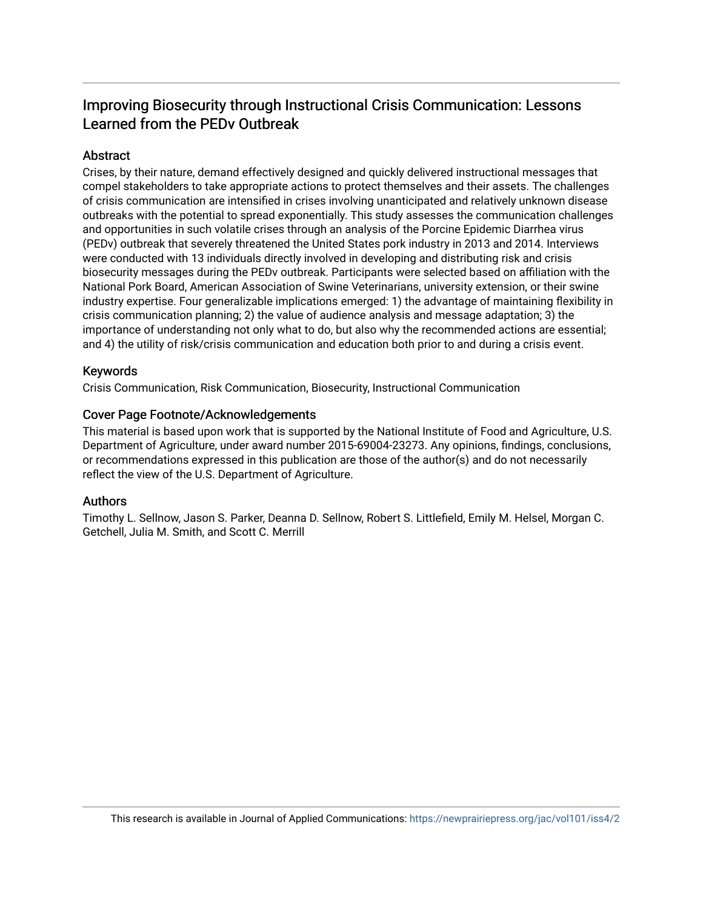## Improving Biosecurity through Instructional Crisis Communication: Lessons Learned from the PEDv Outbreak

## Abstract

Crises, by their nature, demand effectively designed and quickly delivered instructional messages that compel stakeholders to take appropriate actions to protect themselves and their assets. The challenges of crisis communication are intensified in crises involving unanticipated and relatively unknown disease outbreaks with the potential to spread exponentially. This study assesses the communication challenges and opportunities in such volatile crises through an analysis of the Porcine Epidemic Diarrhea virus (PEDv) outbreak that severely threatened the United States pork industry in 2013 and 2014. Interviews were conducted with 13 individuals directly involved in developing and distributing risk and crisis biosecurity messages during the PEDv outbreak. Participants were selected based on affiliation with the National Pork Board, American Association of Swine Veterinarians, university extension, or their swine industry expertise. Four generalizable implications emerged: 1) the advantage of maintaining flexibility in crisis communication planning; 2) the value of audience analysis and message adaptation; 3) the importance of understanding not only what to do, but also why the recommended actions are essential; and 4) the utility of risk/crisis communication and education both prior to and during a crisis event.

## Keywords

Crisis Communication, Risk Communication, Biosecurity, Instructional Communication

#### Cover Page Footnote/Acknowledgements

This material is based upon work that is supported by the National Institute of Food and Agriculture, U.S. Department of Agriculture, under award number 2015-69004-23273. Any opinions, findings, conclusions, or recommendations expressed in this publication are those of the author(s) and do not necessarily reflect the view of the U.S. Department of Agriculture.

## Authors

Timothy L. Sellnow, Jason S. Parker, Deanna D. Sellnow, Robert S. Littlefield, Emily M. Helsel, Morgan C. Getchell, Julia M. Smith, and Scott C. Merrill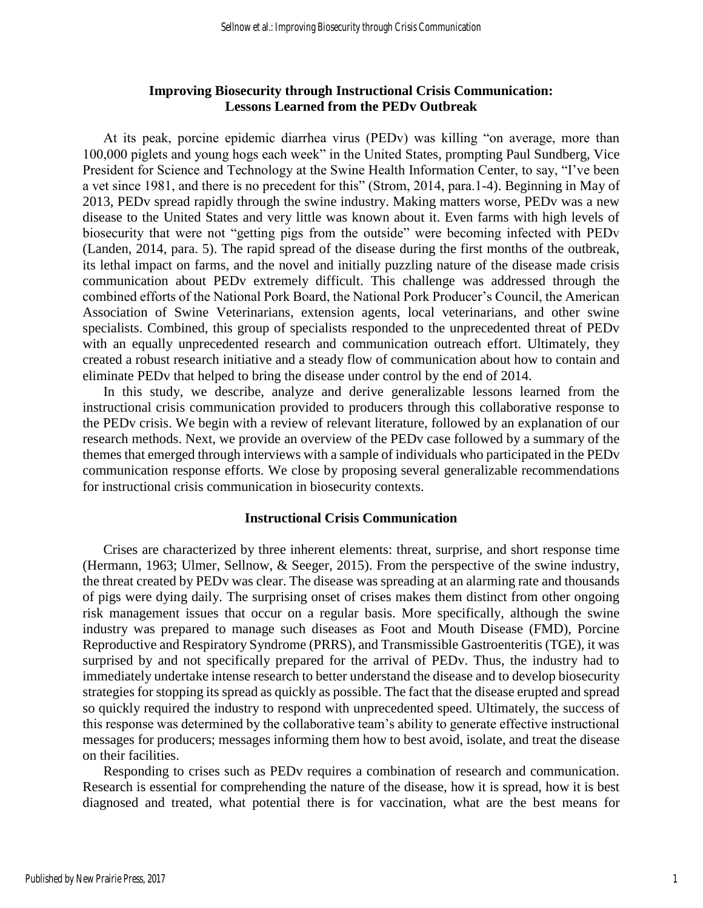### **Improving Biosecurity through Instructional Crisis Communication: Lessons Learned from the PEDv Outbreak**

At its peak, porcine epidemic diarrhea virus (PEDv) was killing "on average, more than 100,000 piglets and young hogs each week" in the United States, prompting Paul Sundberg, Vice President for Science and Technology at the Swine Health Information Center, to say, "I've been a vet since 1981, and there is no precedent for this" (Strom, 2014, para.1-4). Beginning in May of 2013, PEDv spread rapidly through the swine industry. Making matters worse, PEDv was a new disease to the United States and very little was known about it. Even farms with high levels of biosecurity that were not "getting pigs from the outside" were becoming infected with PEDv (Landen, 2014, para. 5). The rapid spread of the disease during the first months of the outbreak, its lethal impact on farms, and the novel and initially puzzling nature of the disease made crisis communication about PEDv extremely difficult. This challenge was addressed through the combined efforts of the National Pork Board, the National Pork Producer's Council, the American Association of Swine Veterinarians, extension agents, local veterinarians, and other swine specialists. Combined, this group of specialists responded to the unprecedented threat of PEDv with an equally unprecedented research and communication outreach effort. Ultimately, they created a robust research initiative and a steady flow of communication about how to contain and eliminate PEDv that helped to bring the disease under control by the end of 2014.

In this study, we describe, analyze and derive generalizable lessons learned from the instructional crisis communication provided to producers through this collaborative response to the PEDv crisis. We begin with a review of relevant literature, followed by an explanation of our research methods. Next, we provide an overview of the PEDv case followed by a summary of the themes that emerged through interviews with a sample of individuals who participated in the PEDv communication response efforts. We close by proposing several generalizable recommendations for instructional crisis communication in biosecurity contexts.

#### **Instructional Crisis Communication**

Crises are characterized by three inherent elements: threat, surprise, and short response time (Hermann, 1963; Ulmer, Sellnow, & Seeger, 2015). From the perspective of the swine industry, the threat created by PEDv was clear. The disease was spreading at an alarming rate and thousands of pigs were dying daily. The surprising onset of crises makes them distinct from other ongoing risk management issues that occur on a regular basis. More specifically, although the swine industry was prepared to manage such diseases as Foot and Mouth Disease (FMD), Porcine Reproductive and Respiratory Syndrome (PRRS), and Transmissible Gastroenteritis (TGE), it was surprised by and not specifically prepared for the arrival of PEDv. Thus, the industry had to immediately undertake intense research to better understand the disease and to develop biosecurity strategies for stopping its spread as quickly as possible. The fact that the disease erupted and spread so quickly required the industry to respond with unprecedented speed. Ultimately, the success of this response was determined by the collaborative team's ability to generate effective instructional messages for producers; messages informing them how to best avoid, isolate, and treat the disease on their facilities.

Responding to crises such as PEDv requires a combination of research and communication. Research is essential for comprehending the nature of the disease, how it is spread, how it is best diagnosed and treated, what potential there is for vaccination, what are the best means for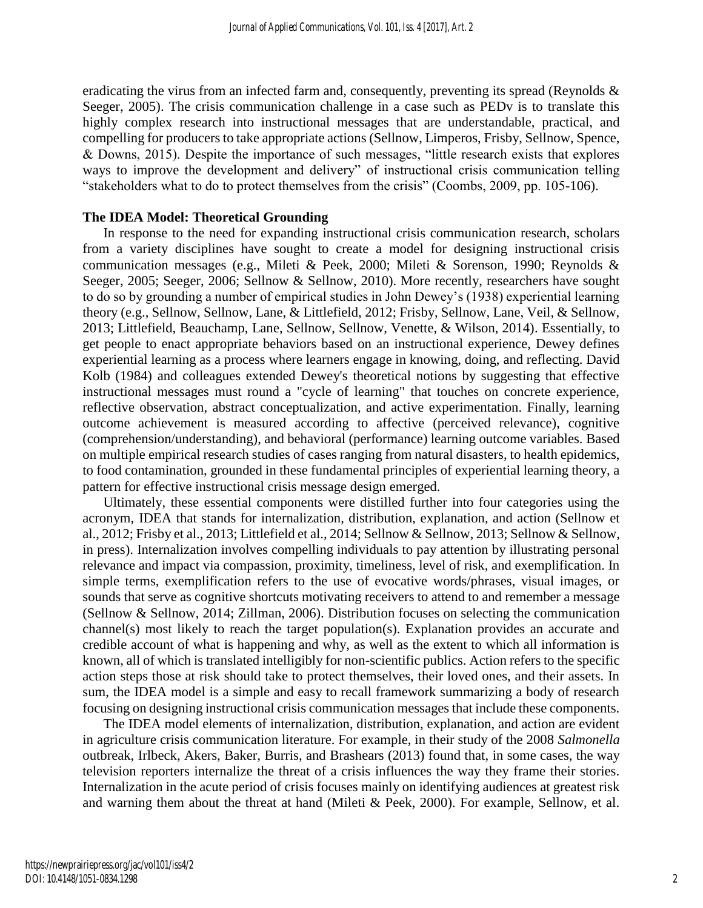eradicating the virus from an infected farm and, consequently, preventing its spread (Reynolds & Seeger, 2005). The crisis communication challenge in a case such as PEDv is to translate this highly complex research into instructional messages that are understandable, practical, and compelling for producers to take appropriate actions (Sellnow, Limperos, Frisby, Sellnow, Spence, & Downs, 2015). Despite the importance of such messages, "little research exists that explores ways to improve the development and delivery" of instructional crisis communication telling "stakeholders what to do to protect themselves from the crisis" (Coombs, 2009, pp. 105-106).

#### **The IDEA Model: Theoretical Grounding**

In response to the need for expanding instructional crisis communication research, scholars from a variety disciplines have sought to create a model for designing instructional crisis communication messages (e.g., Mileti & Peek, 2000; Mileti & Sorenson, 1990; Reynolds & Seeger, 2005; Seeger, 2006; Sellnow & Sellnow, 2010). More recently, researchers have sought to do so by grounding a number of empirical studies in John Dewey's (1938) experiential learning theory (e.g., Sellnow, Sellnow, Lane, & Littlefield, 2012; Frisby, Sellnow, Lane, Veil, & Sellnow, 2013; Littlefield, Beauchamp, Lane, Sellnow, Sellnow, Venette, & Wilson, 2014). Essentially, to get people to enact appropriate behaviors based on an instructional experience, Dewey defines experiential learning as a process where learners engage in knowing, doing, and reflecting. David Kolb (1984) and colleagues extended Dewey's theoretical notions by suggesting that effective instructional messages must round a "cycle of learning" that touches on concrete experience, reflective observation, abstract conceptualization, and active experimentation. Finally, learning outcome achievement is measured according to affective (perceived relevance), cognitive (comprehension/understanding), and behavioral (performance) learning outcome variables. Based on multiple empirical research studies of cases ranging from natural disasters, to health epidemics, to food contamination, grounded in these fundamental principles of experiential learning theory, a pattern for effective instructional crisis message design emerged.

Ultimately, these essential components were distilled further into four categories using the acronym, IDEA that stands for internalization, distribution, explanation, and action (Sellnow et al., 2012; Frisby et al., 2013; Littlefield et al., 2014; Sellnow & Sellnow, 2013; Sellnow & Sellnow, in press). Internalization involves compelling individuals to pay attention by illustrating personal relevance and impact via compassion, proximity, timeliness, level of risk, and exemplification. In simple terms, exemplification refers to the use of evocative words/phrases, visual images, or sounds that serve as cognitive shortcuts motivating receivers to attend to and remember a message (Sellnow & Sellnow, 2014; Zillman, 2006). Distribution focuses on selecting the communication channel(s) most likely to reach the target population(s). Explanation provides an accurate and credible account of what is happening and why, as well as the extent to which all information is known, all of which is translated intelligibly for non-scientific publics. Action refers to the specific action steps those at risk should take to protect themselves, their loved ones, and their assets. In sum, the IDEA model is a simple and easy to recall framework summarizing a body of research focusing on designing instructional crisis communication messages that include these components.

The IDEA model elements of internalization, distribution, explanation, and action are evident in agriculture crisis communication literature. For example, in their study of the 2008 *Salmonella*  outbreak, Irlbeck, Akers, Baker, Burris, and Brashears (2013) found that, in some cases, the way television reporters internalize the threat of a crisis influences the way they frame their stories. Internalization in the acute period of crisis focuses mainly on identifying audiences at greatest risk and warning them about the threat at hand (Mileti & Peek, 2000). For example, Sellnow, et al.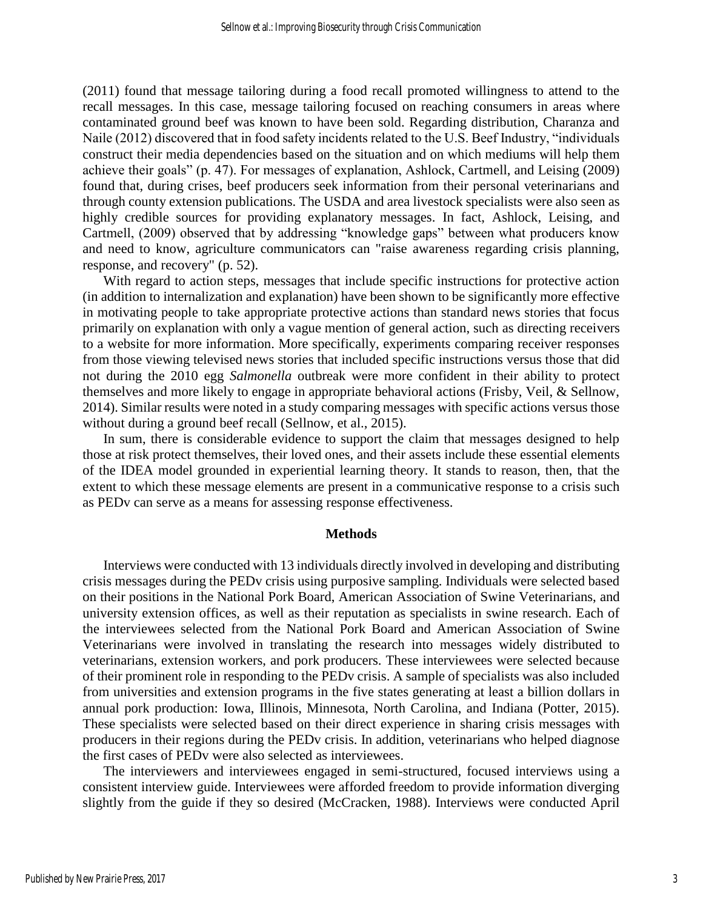(2011) found that message tailoring during a food recall promoted willingness to attend to the recall messages. In this case, message tailoring focused on reaching consumers in areas where contaminated ground beef was known to have been sold. Regarding distribution, Charanza and Naile (2012) discovered that in food safety incidents related to the U.S. Beef Industry, "individuals construct their media dependencies based on the situation and on which mediums will help them achieve their goals" (p. 47). For messages of explanation, Ashlock, Cartmell, and Leising (2009) found that, during crises, beef producers seek information from their personal veterinarians and through county extension publications. The USDA and area livestock specialists were also seen as highly credible sources for providing explanatory messages. In fact, Ashlock, Leising, and Cartmell, (2009) observed that by addressing "knowledge gaps" between what producers know and need to know, agriculture communicators can "raise awareness regarding crisis planning, response, and recovery" (p. 52).

With regard to action steps, messages that include specific instructions for protective action (in addition to internalization and explanation) have been shown to be significantly more effective in motivating people to take appropriate protective actions than standard news stories that focus primarily on explanation with only a vague mention of general action, such as directing receivers to a website for more information. More specifically, experiments comparing receiver responses from those viewing televised news stories that included specific instructions versus those that did not during the 2010 egg *Salmonella* outbreak were more confident in their ability to protect themselves and more likely to engage in appropriate behavioral actions (Frisby, Veil, & Sellnow, 2014). Similar results were noted in a study comparing messages with specific actions versus those without during a ground beef recall (Sellnow, et al., 2015).

In sum, there is considerable evidence to support the claim that messages designed to help those at risk protect themselves, their loved ones, and their assets include these essential elements of the IDEA model grounded in experiential learning theory. It stands to reason, then, that the extent to which these message elements are present in a communicative response to a crisis such as PEDv can serve as a means for assessing response effectiveness.

#### **Methods**

Interviews were conducted with 13 individuals directly involved in developing and distributing crisis messages during the PEDv crisis using purposive sampling. Individuals were selected based on their positions in the National Pork Board, American Association of Swine Veterinarians, and university extension offices, as well as their reputation as specialists in swine research. Each of the interviewees selected from the National Pork Board and American Association of Swine Veterinarians were involved in translating the research into messages widely distributed to veterinarians, extension workers, and pork producers. These interviewees were selected because of their prominent role in responding to the PEDv crisis. A sample of specialists was also included from universities and extension programs in the five states generating at least a billion dollars in annual pork production: Iowa, Illinois, Minnesota, North Carolina, and Indiana (Potter, 2015). These specialists were selected based on their direct experience in sharing crisis messages with producers in their regions during the PEDv crisis. In addition, veterinarians who helped diagnose the first cases of PEDv were also selected as interviewees.

The interviewers and interviewees engaged in semi-structured, focused interviews using a consistent interview guide. Interviewees were afforded freedom to provide information diverging slightly from the guide if they so desired (McCracken, 1988). Interviews were conducted April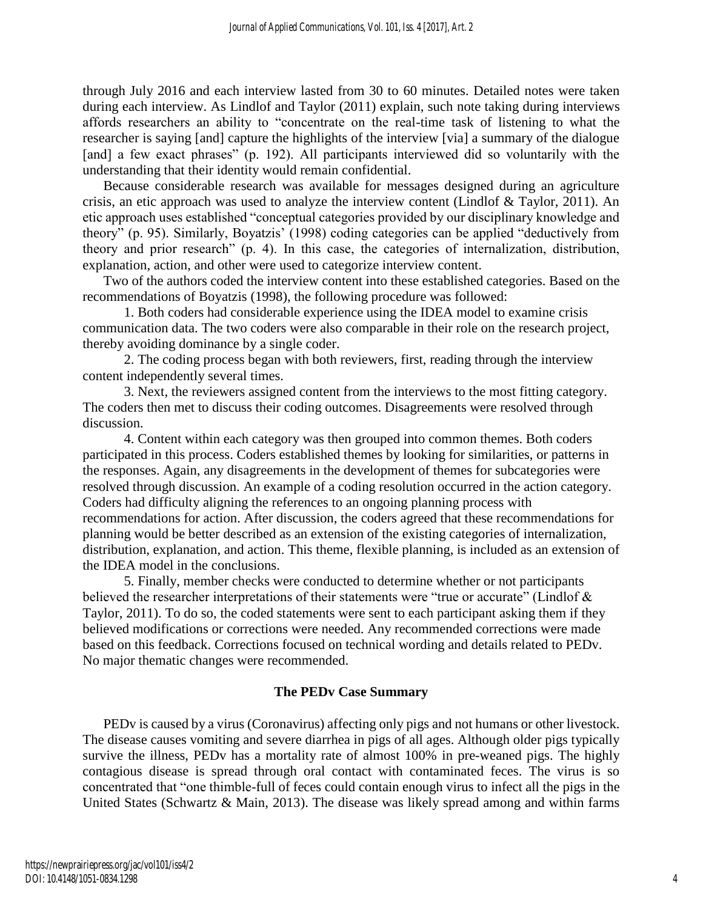through July 2016 and each interview lasted from 30 to 60 minutes. Detailed notes were taken during each interview. As Lindlof and Taylor (2011) explain, such note taking during interviews affords researchers an ability to "concentrate on the real-time task of listening to what the researcher is saying [and] capture the highlights of the interview [via] a summary of the dialogue [and] a few exact phrases" (p. 192). All participants interviewed did so voluntarily with the understanding that their identity would remain confidential.

Because considerable research was available for messages designed during an agriculture crisis, an etic approach was used to analyze the interview content (Lindlof & Taylor, 2011). An etic approach uses established "conceptual categories provided by our disciplinary knowledge and theory" (p. 95). Similarly, Boyatzis' (1998) coding categories can be applied "deductively from theory and prior research" (p. 4). In this case, the categories of internalization, distribution, explanation, action, and other were used to categorize interview content.

Two of the authors coded the interview content into these established categories. Based on the recommendations of Boyatzis (1998), the following procedure was followed:

1. Both coders had considerable experience using the IDEA model to examine crisis communication data. The two coders were also comparable in their role on the research project, thereby avoiding dominance by a single coder.

2. The coding process began with both reviewers, first, reading through the interview content independently several times.

3. Next, the reviewers assigned content from the interviews to the most fitting category. The coders then met to discuss their coding outcomes. Disagreements were resolved through discussion.

4. Content within each category was then grouped into common themes. Both coders participated in this process. Coders established themes by looking for similarities, or patterns in the responses. Again, any disagreements in the development of themes for subcategories were resolved through discussion. An example of a coding resolution occurred in the action category. Coders had difficulty aligning the references to an ongoing planning process with recommendations for action. After discussion, the coders agreed that these recommendations for planning would be better described as an extension of the existing categories of internalization, distribution, explanation, and action. This theme, flexible planning, is included as an extension of the IDEA model in the conclusions.

5. Finally, member checks were conducted to determine whether or not participants believed the researcher interpretations of their statements were "true or accurate" (Lindlof & Taylor, 2011). To do so, the coded statements were sent to each participant asking them if they believed modifications or corrections were needed. Any recommended corrections were made based on this feedback. Corrections focused on technical wording and details related to PEDv. No major thematic changes were recommended.

## **The PEDv Case Summary**

PEDv is caused by a virus (Coronavirus) affecting only pigs and not humans or other livestock. The disease causes vomiting and severe diarrhea in pigs of all ages. Although older pigs typically survive the illness, PEDv has a mortality rate of almost 100% in pre-weaned pigs. The highly contagious disease is spread through oral contact with contaminated feces. The virus is so concentrated that "one thimble-full of feces could contain enough virus to infect all the pigs in the United States (Schwartz & Main, 2013). The disease was likely spread among and within farms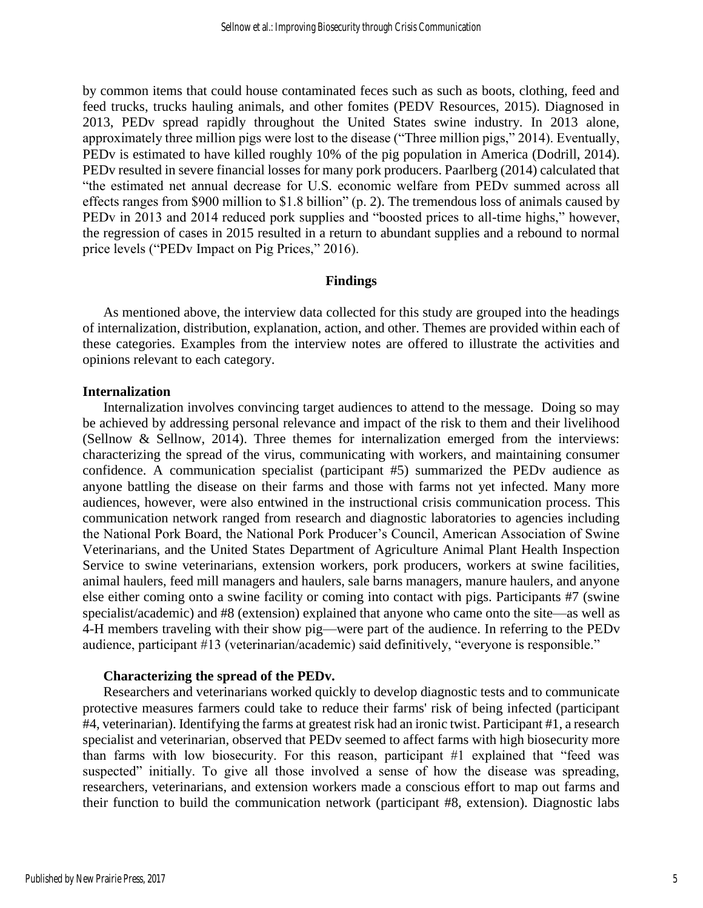by common items that could house contaminated feces such as such as boots, clothing, feed and feed trucks, trucks hauling animals, and other fomites (PEDV Resources, 2015). Diagnosed in 2013, PEDv spread rapidly throughout the United States swine industry. In 2013 alone, approximately three million pigs were lost to the disease ("Three million pigs," 2014). Eventually, PEDv is estimated to have killed roughly 10% of the pig population in America (Dodrill, 2014). PEDv resulted in severe financial losses for many pork producers. Paarlberg (2014) calculated that "the estimated net annual decrease for U.S. economic welfare from PEDv summed across all effects ranges from \$900 million to \$1.8 billion" (p. 2). The tremendous loss of animals caused by PEDv in 2013 and 2014 reduced pork supplies and "boosted prices to all-time highs," however, the regression of cases in 2015 resulted in a return to abundant supplies and a rebound to normal price levels ("PEDv Impact on Pig Prices," 2016).

#### **Findings**

As mentioned above, the interview data collected for this study are grouped into the headings of internalization, distribution, explanation, action, and other. Themes are provided within each of these categories. Examples from the interview notes are offered to illustrate the activities and opinions relevant to each category.

#### **Internalization**

Internalization involves convincing target audiences to attend to the message. Doing so may be achieved by addressing personal relevance and impact of the risk to them and their livelihood (Sellnow & Sellnow, 2014). Three themes for internalization emerged from the interviews: characterizing the spread of the virus, communicating with workers, and maintaining consumer confidence. A communication specialist (participant #5) summarized the PEDv audience as anyone battling the disease on their farms and those with farms not yet infected. Many more audiences, however, were also entwined in the instructional crisis communication process. This communication network ranged from research and diagnostic laboratories to agencies including the National Pork Board, the National Pork Producer's Council, American Association of Swine Veterinarians, and the United States Department of Agriculture Animal Plant Health Inspection Service to swine veterinarians, extension workers, pork producers, workers at swine facilities, animal haulers, feed mill managers and haulers, sale barns managers, manure haulers, and anyone else either coming onto a swine facility or coming into contact with pigs. Participants #7 (swine specialist/academic) and #8 (extension) explained that anyone who came onto the site—as well as 4-H members traveling with their show pig—were part of the audience. In referring to the PEDv audience, participant #13 (veterinarian/academic) said definitively, "everyone is responsible."

#### **Characterizing the spread of the PEDv.**

Researchers and veterinarians worked quickly to develop diagnostic tests and to communicate protective measures farmers could take to reduce their farms' risk of being infected (participant #4, veterinarian). Identifying the farms at greatest risk had an ironic twist. Participant #1, a research specialist and veterinarian, observed that PEDv seemed to affect farms with high biosecurity more than farms with low biosecurity. For this reason, participant #1 explained that "feed was suspected" initially. To give all those involved a sense of how the disease was spreading, researchers, veterinarians, and extension workers made a conscious effort to map out farms and their function to build the communication network (participant #8, extension). Diagnostic labs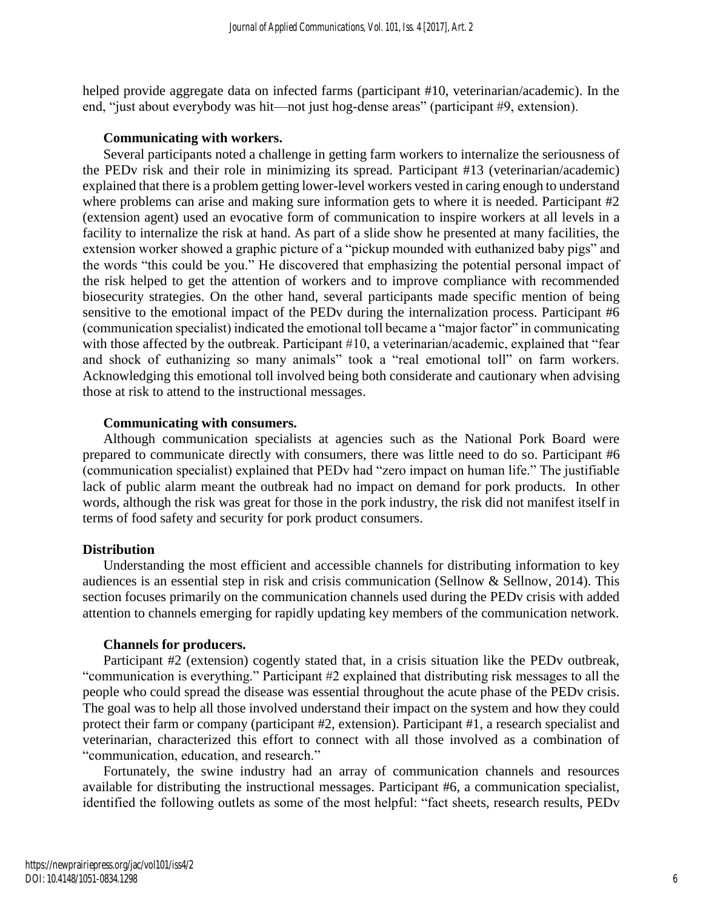helped provide aggregate data on infected farms (participant #10, veterinarian/academic). In the end, "just about everybody was hit—not just hog-dense areas" (participant #9, extension).

#### **Communicating with workers.**

Several participants noted a challenge in getting farm workers to internalize the seriousness of the PEDv risk and their role in minimizing its spread. Participant #13 (veterinarian/academic) explained that there is a problem getting lower-level workers vested in caring enough to understand where problems can arise and making sure information gets to where it is needed. Participant #2 (extension agent) used an evocative form of communication to inspire workers at all levels in a facility to internalize the risk at hand. As part of a slide show he presented at many facilities, the extension worker showed a graphic picture of a "pickup mounded with euthanized baby pigs" and the words "this could be you." He discovered that emphasizing the potential personal impact of the risk helped to get the attention of workers and to improve compliance with recommended biosecurity strategies. On the other hand, several participants made specific mention of being sensitive to the emotional impact of the PEDv during the internalization process. Participant #6 (communication specialist) indicated the emotional toll became a "major factor" in communicating with those affected by the outbreak. Participant #10, a veterinarian/academic, explained that "fear and shock of euthanizing so many animals" took a "real emotional toll" on farm workers. Acknowledging this emotional toll involved being both considerate and cautionary when advising those at risk to attend to the instructional messages.

#### **Communicating with consumers.**

Although communication specialists at agencies such as the National Pork Board were prepared to communicate directly with consumers, there was little need to do so. Participant #6 (communication specialist) explained that PEDv had "zero impact on human life." The justifiable lack of public alarm meant the outbreak had no impact on demand for pork products. In other words, although the risk was great for those in the pork industry, the risk did not manifest itself in terms of food safety and security for pork product consumers.

#### **Distribution**

Understanding the most efficient and accessible channels for distributing information to key audiences is an essential step in risk and crisis communication (Sellnow & Sellnow, 2014). This section focuses primarily on the communication channels used during the PEDv crisis with added attention to channels emerging for rapidly updating key members of the communication network.

#### **Channels for producers.**

Participant #2 (extension) cogently stated that, in a crisis situation like the PEDv outbreak, "communication is everything." Participant #2 explained that distributing risk messages to all the people who could spread the disease was essential throughout the acute phase of the PEDv crisis. The goal was to help all those involved understand their impact on the system and how they could protect their farm or company (participant #2, extension). Participant #1, a research specialist and veterinarian, characterized this effort to connect with all those involved as a combination of "communication, education, and research."

Fortunately, the swine industry had an array of communication channels and resources available for distributing the instructional messages. Participant #6, a communication specialist, identified the following outlets as some of the most helpful: "fact sheets, research results, PEDv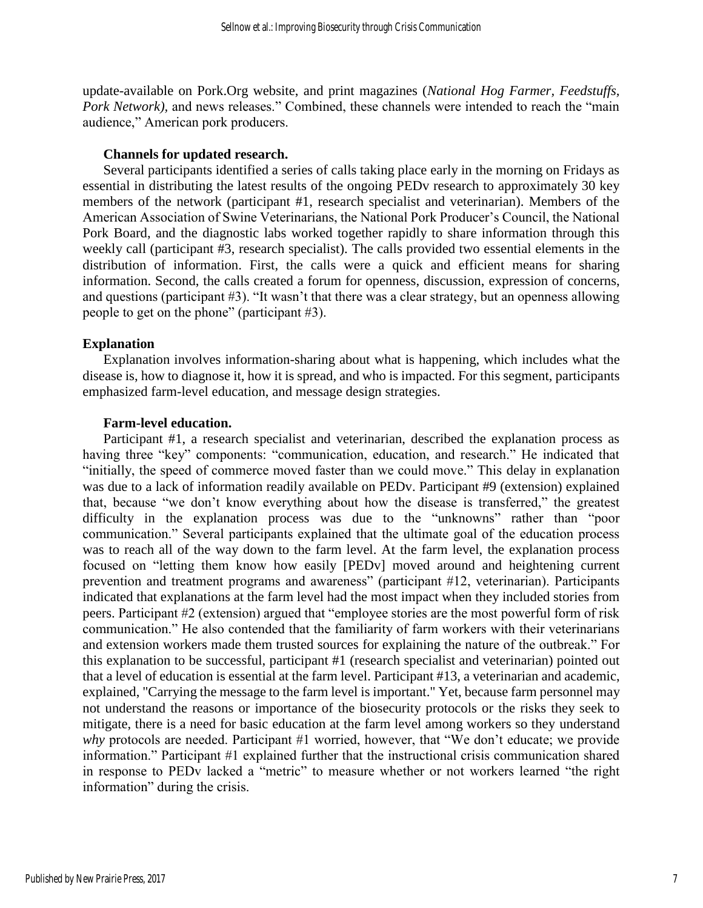update-available on Pork.Org website, and print magazines (*National Hog Farmer, Feedstuffs, Pork Network*), and news releases." Combined, these channels were intended to reach the "main audience," American pork producers.

#### **Channels for updated research.**

Several participants identified a series of calls taking place early in the morning on Fridays as essential in distributing the latest results of the ongoing PEDv research to approximately 30 key members of the network (participant #1, research specialist and veterinarian). Members of the American Association of Swine Veterinarians, the National Pork Producer's Council, the National Pork Board, and the diagnostic labs worked together rapidly to share information through this weekly call (participant #3, research specialist). The calls provided two essential elements in the distribution of information. First, the calls were a quick and efficient means for sharing information. Second, the calls created a forum for openness, discussion, expression of concerns, and questions (participant #3). "It wasn't that there was a clear strategy, but an openness allowing people to get on the phone" (participant #3).

#### **Explanation**

Explanation involves information-sharing about what is happening, which includes what the disease is, how to diagnose it, how it is spread, and who is impacted. For this segment, participants emphasized farm-level education, and message design strategies.

#### **Farm-level education.**

Participant #1, a research specialist and veterinarian, described the explanation process as having three "key" components: "communication, education, and research." He indicated that "initially, the speed of commerce moved faster than we could move." This delay in explanation was due to a lack of information readily available on PEDv. Participant #9 (extension) explained that, because "we don't know everything about how the disease is transferred," the greatest difficulty in the explanation process was due to the "unknowns" rather than "poor communication." Several participants explained that the ultimate goal of the education process was to reach all of the way down to the farm level. At the farm level, the explanation process focused on "letting them know how easily [PEDv] moved around and heightening current prevention and treatment programs and awareness" (participant #12, veterinarian). Participants indicated that explanations at the farm level had the most impact when they included stories from peers. Participant #2 (extension) argued that "employee stories are the most powerful form of risk communication." He also contended that the familiarity of farm workers with their veterinarians and extension workers made them trusted sources for explaining the nature of the outbreak." For this explanation to be successful, participant #1 (research specialist and veterinarian) pointed out that a level of education is essential at the farm level. Participant #13, a veterinarian and academic, explained, "Carrying the message to the farm level is important." Yet, because farm personnel may not understand the reasons or importance of the biosecurity protocols or the risks they seek to mitigate, there is a need for basic education at the farm level among workers so they understand *why* protocols are needed. Participant #1 worried, however, that "We don't educate; we provide information." Participant #1 explained further that the instructional crisis communication shared in response to PEDv lacked a "metric" to measure whether or not workers learned "the right information" during the crisis.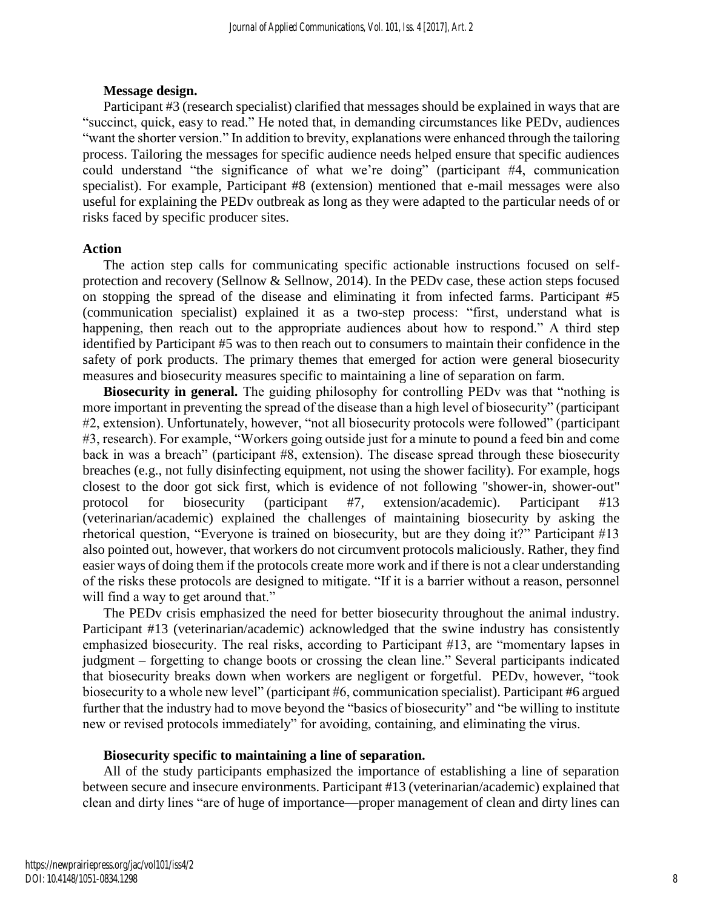## **Message design.**

Participant #3 (research specialist) clarified that messages should be explained in ways that are "succinct, quick, easy to read." He noted that, in demanding circumstances like PEDv, audiences "want the shorter version." In addition to brevity, explanations were enhanced through the tailoring process. Tailoring the messages for specific audience needs helped ensure that specific audiences could understand "the significance of what we're doing" (participant #4, communication specialist). For example, Participant #8 (extension) mentioned that e-mail messages were also useful for explaining the PEDv outbreak as long as they were adapted to the particular needs of or risks faced by specific producer sites.

## **Action**

The action step calls for communicating specific actionable instructions focused on selfprotection and recovery (Sellnow & Sellnow, 2014). In the PEDv case, these action steps focused on stopping the spread of the disease and eliminating it from infected farms. Participant #5 (communication specialist) explained it as a two-step process: "first, understand what is happening, then reach out to the appropriate audiences about how to respond." A third step identified by Participant #5 was to then reach out to consumers to maintain their confidence in the safety of pork products. The primary themes that emerged for action were general biosecurity measures and biosecurity measures specific to maintaining a line of separation on farm.

**Biosecurity in general.** The guiding philosophy for controlling PEDv was that "nothing is more important in preventing the spread of the disease than a high level of biosecurity" (participant #2, extension). Unfortunately, however, "not all biosecurity protocols were followed" (participant #3, research). For example, "Workers going outside just for a minute to pound a feed bin and come back in was a breach" (participant #8, extension). The disease spread through these biosecurity breaches (e.g., not fully disinfecting equipment, not using the shower facility). For example, hogs closest to the door got sick first, which is evidence of not following "shower-in, shower-out" protocol for biosecurity (participant #7, extension/academic). Participant #13 (veterinarian/academic) explained the challenges of maintaining biosecurity by asking the rhetorical question, "Everyone is trained on biosecurity, but are they doing it?" Participant #13 also pointed out, however, that workers do not circumvent protocols maliciously. Rather, they find easier ways of doing them if the protocols create more work and if there is not a clear understanding of the risks these protocols are designed to mitigate. "If it is a barrier without a reason, personnel will find a way to get around that."

The PEDv crisis emphasized the need for better biosecurity throughout the animal industry. Participant #13 (veterinarian/academic) acknowledged that the swine industry has consistently emphasized biosecurity. The real risks, according to Participant #13, are "momentary lapses in judgment – forgetting to change boots or crossing the clean line." Several participants indicated that biosecurity breaks down when workers are negligent or forgetful. PEDv, however, "took biosecurity to a whole new level" (participant #6, communication specialist). Participant #6 argued further that the industry had to move beyond the "basics of biosecurity" and "be willing to institute new or revised protocols immediately" for avoiding, containing, and eliminating the virus.

## **Biosecurity specific to maintaining a line of separation.**

All of the study participants emphasized the importance of establishing a line of separation between secure and insecure environments. Participant #13 (veterinarian/academic) explained that clean and dirty lines "are of huge of importance—proper management of clean and dirty lines can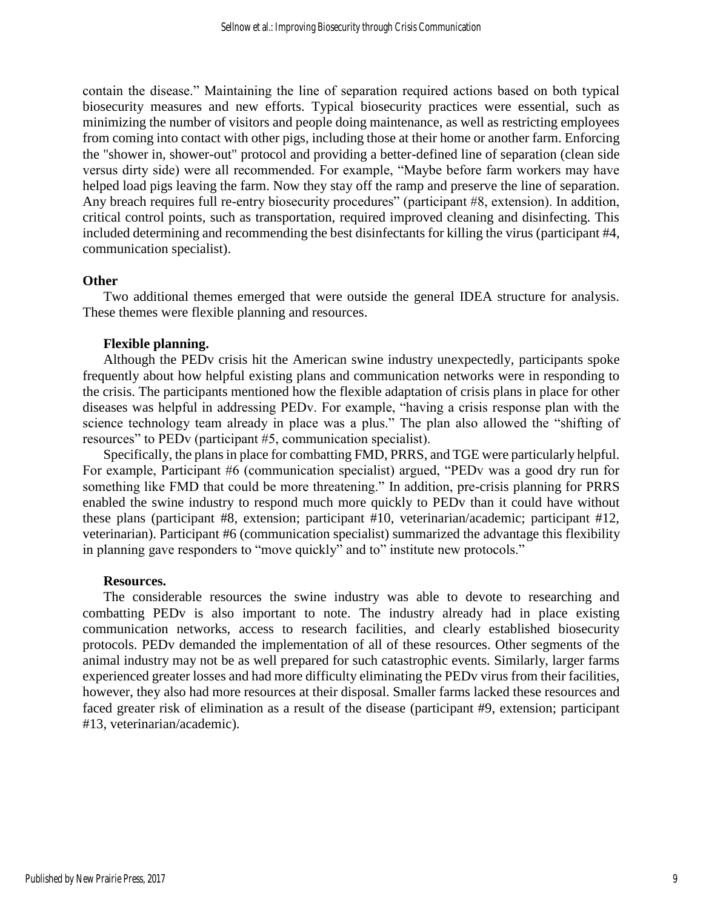contain the disease." Maintaining the line of separation required actions based on both typical biosecurity measures and new efforts. Typical biosecurity practices were essential, such as minimizing the number of visitors and people doing maintenance, as well as restricting employees from coming into contact with other pigs, including those at their home or another farm. Enforcing the "shower in, shower-out" protocol and providing a better-defined line of separation (clean side versus dirty side) were all recommended. For example, "Maybe before farm workers may have helped load pigs leaving the farm. Now they stay off the ramp and preserve the line of separation. Any breach requires full re-entry biosecurity procedures" (participant #8, extension). In addition, critical control points, such as transportation, required improved cleaning and disinfecting. This included determining and recommending the best disinfectants for killing the virus (participant #4, communication specialist).

#### **Other**

Two additional themes emerged that were outside the general IDEA structure for analysis. These themes were flexible planning and resources.

#### **Flexible planning.**

Although the PEDv crisis hit the American swine industry unexpectedly, participants spoke frequently about how helpful existing plans and communication networks were in responding to the crisis. The participants mentioned how the flexible adaptation of crisis plans in place for other diseases was helpful in addressing PEDv. For example, "having a crisis response plan with the science technology team already in place was a plus." The plan also allowed the "shifting of resources" to PEDv (participant #5, communication specialist).

Specifically, the plans in place for combatting FMD, PRRS, and TGE were particularly helpful. For example, Participant #6 (communication specialist) argued, "PEDv was a good dry run for something like FMD that could be more threatening." In addition, pre-crisis planning for PRRS enabled the swine industry to respond much more quickly to PEDv than it could have without these plans (participant #8, extension; participant #10, veterinarian/academic; participant #12, veterinarian). Participant #6 (communication specialist) summarized the advantage this flexibility in planning gave responders to "move quickly" and to" institute new protocols."

#### **Resources.**

The considerable resources the swine industry was able to devote to researching and combatting PEDv is also important to note. The industry already had in place existing communication networks, access to research facilities, and clearly established biosecurity protocols. PEDv demanded the implementation of all of these resources. Other segments of the animal industry may not be as well prepared for such catastrophic events. Similarly, larger farms experienced greater losses and had more difficulty eliminating the PEDv virus from their facilities, however, they also had more resources at their disposal. Smaller farms lacked these resources and faced greater risk of elimination as a result of the disease (participant #9, extension; participant #13, veterinarian/academic).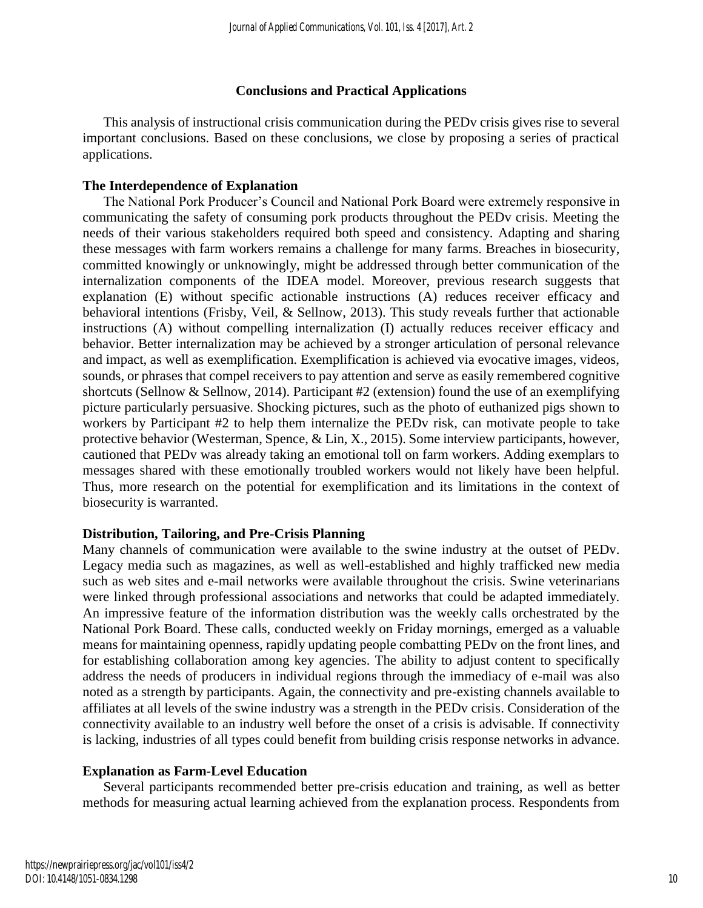## **Conclusions and Practical Applications**

This analysis of instructional crisis communication during the PEDv crisis gives rise to several important conclusions. Based on these conclusions, we close by proposing a series of practical applications.

## **The Interdependence of Explanation**

The National Pork Producer's Council and National Pork Board were extremely responsive in communicating the safety of consuming pork products throughout the PEDv crisis. Meeting the needs of their various stakeholders required both speed and consistency. Adapting and sharing these messages with farm workers remains a challenge for many farms. Breaches in biosecurity, committed knowingly or unknowingly, might be addressed through better communication of the internalization components of the IDEA model. Moreover, previous research suggests that explanation (E) without specific actionable instructions (A) reduces receiver efficacy and behavioral intentions (Frisby, Veil, & Sellnow, 2013). This study reveals further that actionable instructions (A) without compelling internalization (I) actually reduces receiver efficacy and behavior. Better internalization may be achieved by a stronger articulation of personal relevance and impact, as well as exemplification. Exemplification is achieved via evocative images, videos, sounds, or phrases that compel receivers to pay attention and serve as easily remembered cognitive shortcuts (Sellnow & Sellnow, 2014). Participant #2 (extension) found the use of an exemplifying picture particularly persuasive. Shocking pictures, such as the photo of euthanized pigs shown to workers by Participant #2 to help them internalize the PEDv risk, can motivate people to take protective behavior (Westerman, Spence, & Lin, X., 2015). Some interview participants, however, cautioned that PEDv was already taking an emotional toll on farm workers. Adding exemplars to messages shared with these emotionally troubled workers would not likely have been helpful. Thus, more research on the potential for exemplification and its limitations in the context of biosecurity is warranted.

## **Distribution, Tailoring, and Pre-Crisis Planning**

Many channels of communication were available to the swine industry at the outset of PEDv. Legacy media such as magazines, as well as well-established and highly trafficked new media such as web sites and e-mail networks were available throughout the crisis. Swine veterinarians were linked through professional associations and networks that could be adapted immediately. An impressive feature of the information distribution was the weekly calls orchestrated by the National Pork Board. These calls, conducted weekly on Friday mornings, emerged as a valuable means for maintaining openness, rapidly updating people combatting PEDv on the front lines, and for establishing collaboration among key agencies. The ability to adjust content to specifically address the needs of producers in individual regions through the immediacy of e-mail was also noted as a strength by participants. Again, the connectivity and pre-existing channels available to affiliates at all levels of the swine industry was a strength in the PEDv crisis. Consideration of the connectivity available to an industry well before the onset of a crisis is advisable. If connectivity is lacking, industries of all types could benefit from building crisis response networks in advance.

## **Explanation as Farm-Level Education**

Several participants recommended better pre-crisis education and training, as well as better methods for measuring actual learning achieved from the explanation process. Respondents from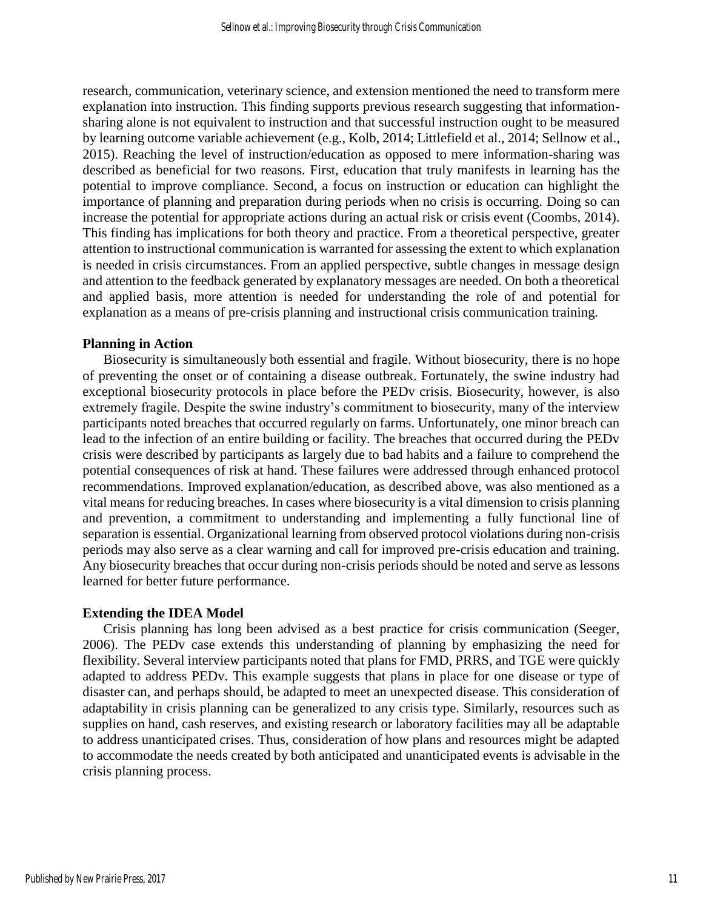research, communication, veterinary science, and extension mentioned the need to transform mere explanation into instruction. This finding supports previous research suggesting that informationsharing alone is not equivalent to instruction and that successful instruction ought to be measured by learning outcome variable achievement (e.g., Kolb, 2014; Littlefield et al., 2014; Sellnow et al., 2015). Reaching the level of instruction/education as opposed to mere information-sharing was described as beneficial for two reasons. First, education that truly manifests in learning has the potential to improve compliance. Second, a focus on instruction or education can highlight the importance of planning and preparation during periods when no crisis is occurring. Doing so can increase the potential for appropriate actions during an actual risk or crisis event (Coombs, 2014). This finding has implications for both theory and practice. From a theoretical perspective, greater attention to instructional communication is warranted for assessing the extent to which explanation is needed in crisis circumstances. From an applied perspective, subtle changes in message design and attention to the feedback generated by explanatory messages are needed. On both a theoretical and applied basis, more attention is needed for understanding the role of and potential for explanation as a means of pre-crisis planning and instructional crisis communication training.

#### **Planning in Action**

Biosecurity is simultaneously both essential and fragile. Without biosecurity, there is no hope of preventing the onset or of containing a disease outbreak. Fortunately, the swine industry had exceptional biosecurity protocols in place before the PEDv crisis. Biosecurity, however, is also extremely fragile. Despite the swine industry's commitment to biosecurity, many of the interview participants noted breaches that occurred regularly on farms. Unfortunately, one minor breach can lead to the infection of an entire building or facility. The breaches that occurred during the PEDv crisis were described by participants as largely due to bad habits and a failure to comprehend the potential consequences of risk at hand. These failures were addressed through enhanced protocol recommendations. Improved explanation/education, as described above, was also mentioned as a vital means for reducing breaches. In cases where biosecurity is a vital dimension to crisis planning and prevention, a commitment to understanding and implementing a fully functional line of separation is essential. Organizational learning from observed protocol violations during non-crisis periods may also serve as a clear warning and call for improved pre-crisis education and training. Any biosecurity breaches that occur during non-crisis periods should be noted and serve as lessons learned for better future performance.

#### **Extending the IDEA Model**

Crisis planning has long been advised as a best practice for crisis communication (Seeger, 2006). The PEDv case extends this understanding of planning by emphasizing the need for flexibility. Several interview participants noted that plans for FMD, PRRS, and TGE were quickly adapted to address PEDv. This example suggests that plans in place for one disease or type of disaster can, and perhaps should, be adapted to meet an unexpected disease. This consideration of adaptability in crisis planning can be generalized to any crisis type. Similarly, resources such as supplies on hand, cash reserves, and existing research or laboratory facilities may all be adaptable to address unanticipated crises. Thus, consideration of how plans and resources might be adapted to accommodate the needs created by both anticipated and unanticipated events is advisable in the crisis planning process.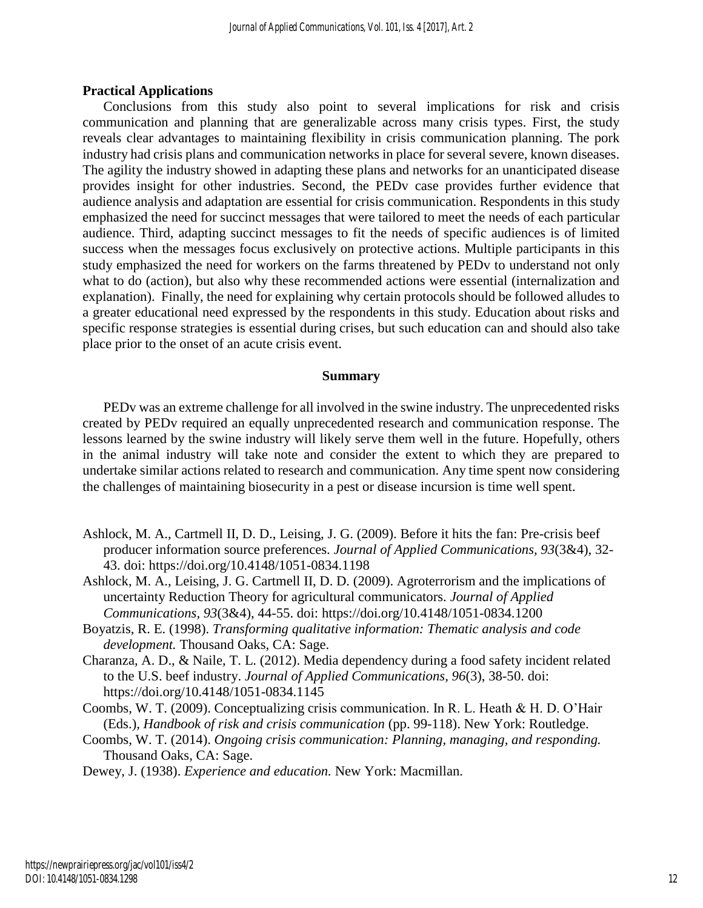#### **Practical Applications**

Conclusions from this study also point to several implications for risk and crisis communication and planning that are generalizable across many crisis types. First, the study reveals clear advantages to maintaining flexibility in crisis communication planning. The pork industry had crisis plans and communication networks in place for several severe, known diseases. The agility the industry showed in adapting these plans and networks for an unanticipated disease provides insight for other industries. Second, the PEDv case provides further evidence that audience analysis and adaptation are essential for crisis communication. Respondents in this study emphasized the need for succinct messages that were tailored to meet the needs of each particular audience. Third, adapting succinct messages to fit the needs of specific audiences is of limited success when the messages focus exclusively on protective actions. Multiple participants in this study emphasized the need for workers on the farms threatened by PEDv to understand not only what to do (action), but also why these recommended actions were essential (internalization and explanation). Finally, the need for explaining why certain protocols should be followed alludes to a greater educational need expressed by the respondents in this study. Education about risks and specific response strategies is essential during crises, but such education can and should also take place prior to the onset of an acute crisis event.

#### **Summary**

PEDv was an extreme challenge for all involved in the swine industry. The unprecedented risks created by PEDv required an equally unprecedented research and communication response. The lessons learned by the swine industry will likely serve them well in the future. Hopefully, others in the animal industry will take note and consider the extent to which they are prepared to undertake similar actions related to research and communication. Any time spent now considering the challenges of maintaining biosecurity in a pest or disease incursion is time well spent.

- Ashlock, M. A., Cartmell II, D. D., Leising, J. G. (2009). Before it hits the fan: Pre-crisis beef producer information source preferences. *Journal of Applied Communications, 93*(3&4), 32- 43. doi: https://doi.org/10.4148/1051-0834.1198
- Ashlock, M. A., Leising, J. G. Cartmell II, D. D. (2009). Agroterrorism and the implications of uncertainty Reduction Theory for agricultural communicators. *Journal of Applied Communications, 93*(3&4), 44-55. doi: https://doi.org/10.4148/1051-0834.1200
- Boyatzis, R. E. (1998). *Transforming qualitative information: Thematic analysis and code development.* Thousand Oaks, CA: Sage.
- Charanza, A. D., & Naile, T. L. (2012). Media dependency during a food safety incident related to the U.S. beef industry. *Journal of Applied Communications, 96*(3), 38-50. doi: https://doi.org/10.4148/1051-0834.1145
- Coombs, W. T. (2009). Conceptualizing crisis communication. In R. L. Heath & H. D. O'Hair (Eds.), *Handbook of risk and crisis communication* (pp. 99-118). New York: Routledge.
- Coombs, W. T. (2014). *Ongoing crisis communication: Planning, managing, and responding.*  Thousand Oaks, CA: Sage.

Dewey, J. (1938). *Experience and education.* New York: Macmillan.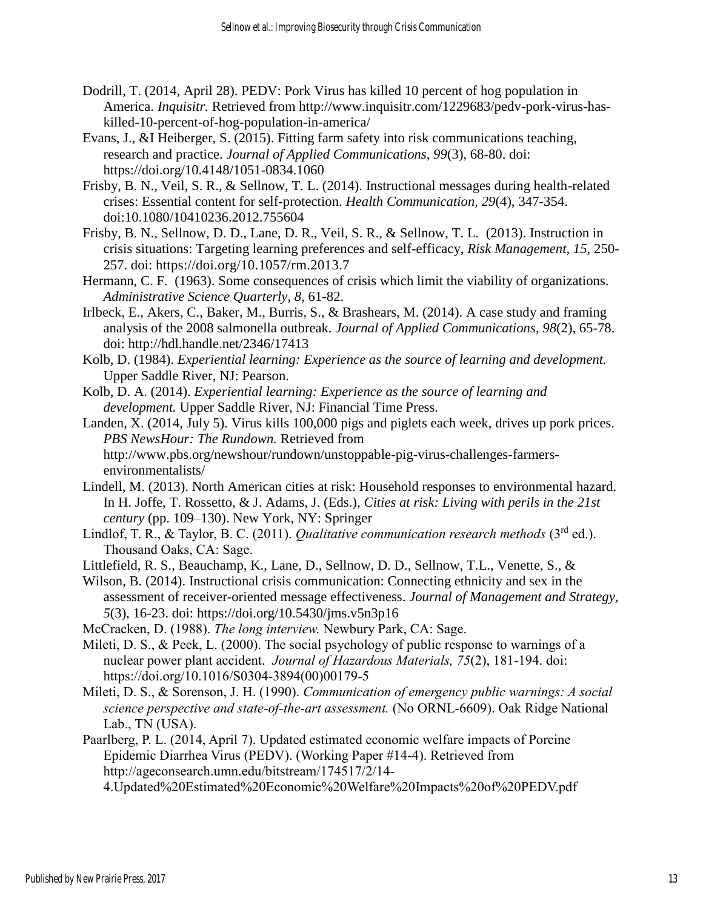- Dodrill, T. (2014, April 28). PEDV: Pork Virus has killed 10 percent of hog population in America. *Inquisitr.* Retrieved from http://www.inquisitr.com/1229683/pedv-pork-virus-haskilled-10-percent-of-hog-population-in-america/
- Evans, J., &I Heiberger, S. (2015). Fitting farm safety into risk communications teaching, research and practice. *Journal of Applied Communications, 99*(3), 68-80. doi: https://doi.org/10.4148/1051-0834.1060
- Frisby, B. N., Veil, S. R., & Sellnow, T. L. (2014). Instructional messages during health-related crises: Essential content for self-protection. *Health Communication, 29*(4), 347-354. doi:10.1080/10410236.2012.755604
- Frisby, B. N., Sellnow, D. D., Lane, D. R., Veil, S. R., & Sellnow, T. L. (2013). Instruction in crisis situations: Targeting learning preferences and self-efficacy, *Risk Management, 15,* 250- 257. doi: https://doi.org/10.1057/rm.2013.7
- Hermann, C. F. (1963). Some consequences of crisis which limit the viability of organizations. *Administrative Science Quarterly, 8,* 61-82.
- Irlbeck, E., Akers, C., Baker, M., Burris, S., & Brashears, M. (2014). A case study and framing analysis of the 2008 salmonella outbreak. *Journal of Applied Communications*, *98*(2), 65-78. doi: http://hdl.handle.net/2346/17413
- Kolb, D. (1984). *Experiential learning: Experience as the source of learning and development.*  Upper Saddle River, NJ: Pearson.
- Kolb, D. A. (2014). *Experiential learning: Experience as the source of learning and development.* Upper Saddle River, NJ: Financial Time Press.
- Landen, X. (2014, July 5). Virus kills 100,000 pigs and piglets each week, drives up pork prices. *PBS NewsHour: The Rundown.* Retrieved from http://www.pbs.org/newshour/rundown/unstoppable-pig-virus-challenges-farmersenvironmentalists/
- Lindell, M. (2013). North American cities at risk: Household responses to environmental hazard. In H. Joffe, T. Rossetto, & J. Adams, J. (Eds.), *Cities at risk: Living with perils in the 21st century* (pp. 109–130). New York, NY: Springer
- Lindlof, T. R., & Taylor, B. C. (2011). *Qualitative communication research methods* (3<sup>rd</sup> ed.). Thousand Oaks, CA: Sage.

Littlefield, R. S., Beauchamp, K., Lane, D., Sellnow, D. D., Sellnow, T.L., Venette, S., &

- Wilson, B. (2014). Instructional crisis communication: Connecting ethnicity and sex in the assessment of receiver-oriented message effectiveness. *Journal of Management and Strategy, 5*(3), 16-23. doi: https://doi.org/10.5430/jms.v5n3p16
- McCracken, D. (1988). *The long interview.* Newbury Park, CA: Sage.
- Mileti, D. S., & Peek, L. (2000). The social psychology of public response to warnings of a nuclear power plant accident. *Journal of Hazardous Materials, 75*(2), 181-194. doi: https://doi.org/10.1016/S0304-3894(00)00179-5
- Mileti, D. S., & Sorenson, J. H. (1990). *Communication of emergency public warnings: A social science perspective and state-of-the-art assessment.* (No ORNL-6609). Oak Ridge National Lab., TN (USA).
- Paarlberg, P. L. (2014, April 7). Updated estimated economic welfare impacts of Porcine Epidemic Diarrhea Virus (PEDV). (Working Paper #14-4). Retrieved from http://ageconsearch.umn.edu/bitstream/174517/2/14-

4.Updated%20Estimated%20Economic%20Welfare%20Impacts%20of%20PEDV.pdf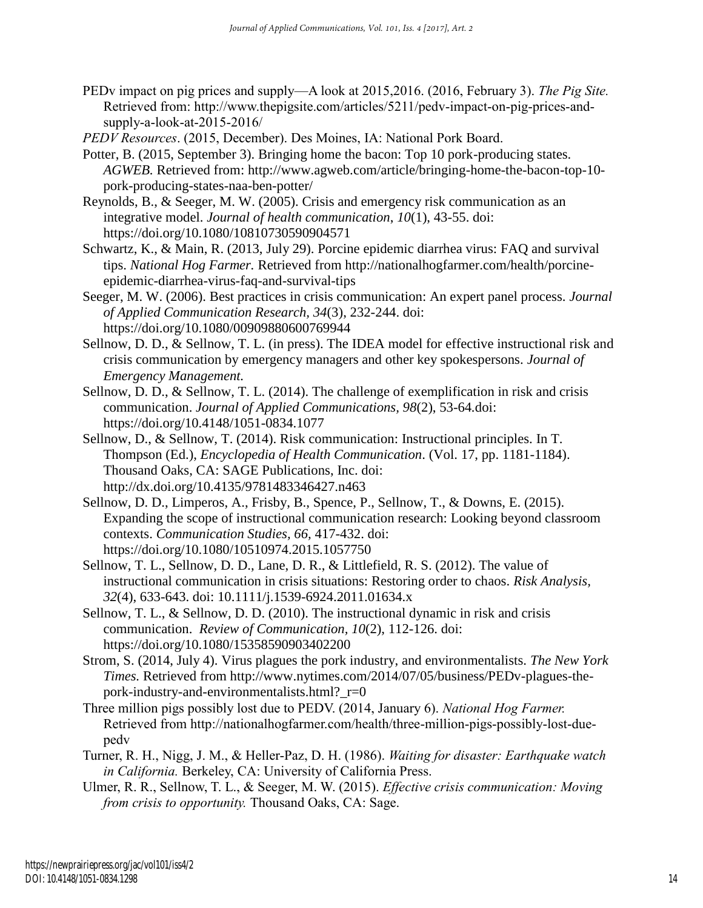PEDv impact on pig prices and supply—A look at 2015,2016. (2016, February 3). *The Pig Site.* Retrieved from: http://www.thepigsite.com/articles/5211/pedv-impact-on-pig-prices-andsupply-a-look-at-2015-2016/

*PEDV Resources*. (2015, December). Des Moines, IA: National Pork Board.

- Potter, B. (2015, September 3). Bringing home the bacon: Top 10 pork-producing states. *AGWEB.* Retrieved from: http://www.agweb.com/article/bringing-home-the-bacon-top-10 pork-producing-states-naa-ben-potter/
- Reynolds, B., & Seeger, M. W. (2005). Crisis and emergency risk communication as an integrative model. *Journal of health communication*, *10*(1), 43-55. doi: https://doi.org/10.1080/10810730590904571
- Schwartz, K., & Main, R. (2013, July 29). Porcine epidemic diarrhea virus: FAQ and survival tips. *National Hog Farmer.* Retrieved from http://nationalhogfarmer.com/health/porcineepidemic-diarrhea-virus-faq-and-survival-tips
- Seeger, M. W. (2006). Best practices in crisis communication: An expert panel process. *Journal of Applied Communication Research, 34*(3), 232-244. doi: https://doi.org/10.1080/00909880600769944
- Sellnow, D. D., & Sellnow, T. L. (in press). The IDEA model for effective instructional risk and crisis communication by emergency managers and other key spokespersons. *Journal of Emergency Management.*
- Sellnow, D. D., & Sellnow, T. L. (2014). The challenge of exemplification in risk and crisis communication. *Journal of Applied Communications, 98*(2), 53-64*.*doi: https://doi.org/10.4148/1051-0834.1077
- Sellnow, D., & Sellnow, T. (2014). Risk communication: Instructional principles. In T. Thompson (Ed.), *Encyclopedia of Health Communication*. (Vol. 17, pp. 1181-1184). Thousand Oaks, CA: SAGE Publications, Inc. doi: http://dx.doi.org/10.4135/9781483346427.n463
- Sellnow, D. D., Limperos, A., Frisby, B., Spence, P., Sellnow, T., & Downs, E. (2015). Expanding the scope of instructional communication research: Looking beyond classroom contexts. *Communication Studies, 66,* 417-432. doi: https://doi.org/10.1080/10510974.2015.1057750
- Sellnow, T. L., Sellnow, D. D., Lane, D. R., & Littlefield, R. S. (2012). The value of instructional communication in crisis situations: Restoring order to chaos. *Risk Analysis, 32*(4), 633-643. doi: 10.1111/j.1539-6924.2011.01634.x
- Sellnow, T. L., & Sellnow, D. D. (2010). The instructional dynamic in risk and crisis communication. *Review of Communication, 10*(2), 112-126. doi: https://doi.org/10.1080/15358590903402200
- Strom, S. (2014, July 4). Virus plagues the pork industry, and environmentalists. *The New York Times.* Retrieved from http://www.nytimes.com/2014/07/05/business/PEDv-plagues-thepork-industry-and-environmentalists.html? $r=0$
- Three million pigs possibly lost due to PEDV. (2014, January 6). *National Hog Farmer.* Retrieved from http://nationalhogfarmer.com/health/three-million-pigs-possibly-lost-duepedv
- Turner, R. H., Nigg, J. M., & Heller-Paz, D. H. (1986). *Waiting for disaster: Earthquake watch in California.* Berkeley, CA: University of California Press.
- Ulmer, R. R., Sellnow, T. L., & Seeger, M. W. (2015). *Effective crisis communication: Moving from crisis to opportunity.* Thousand Oaks, CA: Sage.